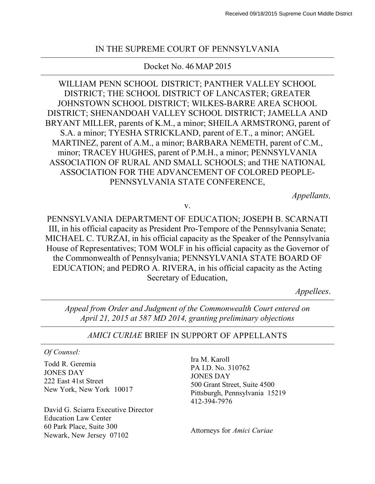#### IN THE SUPREME COURT OF PENNSYLVANIA

#### Docket No. 46 MAP 2015

WILLIAM PENN SCHOOL DISTRICT; PANTHER VALLEY SCHOOL DISTRICT; THE SCHOOL DISTRICT OF LANCASTER; GREATER JOHNSTOWN SCHOOL DISTRICT; WILKES-BARRE AREA SCHOOL DISTRICT; SHENANDOAH VALLEY SCHOOL DISTRICT; JAMELLA AND BRYANT MILLER, parents of K.M., a minor; SHEILA ARMSTRONG, parent of S.A. a minor; TYESHA STRICKLAND, parent of E.T., a minor; ANGEL MARTINEZ, parent of A.M., a minor; BARBARA NEMETH, parent of C.M., minor; TRACEY HUGHES, parent of P.M.H., a minor; PENNSYLVANIA ASSOCIATION OF RURAL AND SMALL SCHOOLS; and THE NATIONAL ASSOCIATION FOR THE ADVANCEMENT OF COLORED PEOPLE-PENNSYLVANIA STATE CONFERENCE,

*Appellants,*

v.

PENNSYLVANIA DEPARTMENT OF EDUCATION; JOSEPH B. SCARNATI III, in his official capacity as President Pro-Tempore of the Pennsylvania Senate; MICHAEL C. TURZAI, in his official capacity as the Speaker of the Pennsylvania House of Representatives; TOM WOLF in his official capacity as the Governor of the Commonwealth of Pennsylvania; PENNSYLVANIA STATE BOARD OF EDUCATION; and PEDRO A. RIVERA, in his official capacity as the Acting Secretary of Education,

*Appellees*.

*Appeal from Order and Judgment of the Commonwealth Court entered on April 21, 2015 at 587 MD 2014, granting preliminary objections*

#### *AMICI CURIAE* BRIEF IN SUPPORT OF APPELLANTS

*Of Counsel:*

Todd R. Geremia JONES DAY 222 East 41st Street New York, New York 10017

David G. Sciarra Executive Director Education Law Center 60 Park Place, Suite 300 Newark, New Jersey 07102 Attorneys for *Amici Curiae*

Ira M. Karoll PA I.D. No. 310762 JONES DAY 500 Grant Street, Suite 4500 Pittsburgh, Pennsylvania 15219 412-394-7976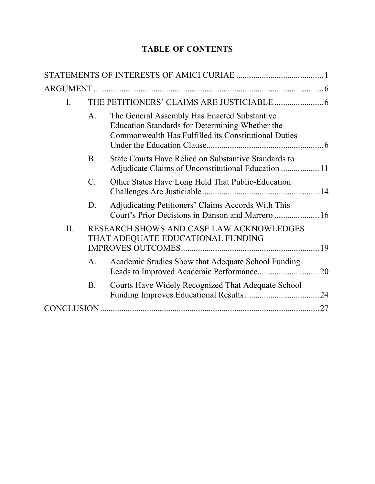# **TABLE OF CONTENTS**

| $\mathbf{I}$ . |                                                                               |                                                                                                                                                         |    |
|----------------|-------------------------------------------------------------------------------|---------------------------------------------------------------------------------------------------------------------------------------------------------|----|
|                | A.                                                                            | The General Assembly Has Enacted Substantive<br>Education Standards for Determining Whether the<br>Commonwealth Has Fulfilled its Constitutional Duties |    |
|                | <b>B.</b>                                                                     | State Courts Have Relied on Substantive Standards to<br>Adjudicate Claims of Unconstitutional Education  11                                             |    |
|                | $\mathcal{C}$ .                                                               | Other States Have Long Held That Public-Education                                                                                                       |    |
|                | D.                                                                            | Adjudicating Petitioners' Claims Accords With This<br>Court's Prior Decisions in Danson and Marrero  16                                                 |    |
| II.            | RESEARCH SHOWS AND CASE LAW ACKNOWLEDGES<br>THAT ADEQUATE EDUCATIONAL FUNDING |                                                                                                                                                         | 19 |
|                | A.                                                                            | Academic Studies Show that Adequate School Funding                                                                                                      |    |
|                | <b>B</b> .                                                                    | Courts Have Widely Recognized That Adequate School                                                                                                      |    |
|                |                                                                               |                                                                                                                                                         | 27 |
|                |                                                                               |                                                                                                                                                         |    |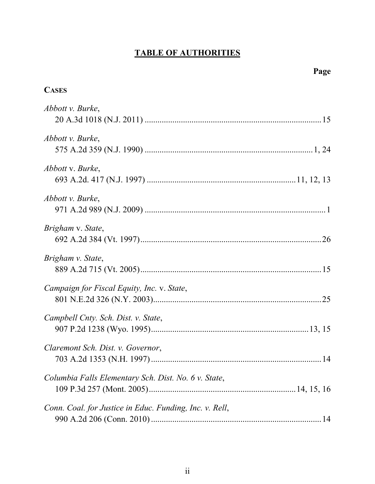# **TABLE OF AUTHORITIES**

| <b>CASES</b>                                            |  |
|---------------------------------------------------------|--|
| Abbott v. Burke,                                        |  |
| Abbott v. Burke,                                        |  |
| Abbott v. Burke,                                        |  |
| Abbott v. Burke,                                        |  |
| Brigham v. State,                                       |  |
| Brigham v. State,                                       |  |
| Campaign for Fiscal Equity, Inc. v. State,              |  |
| Campbell Cnty. Sch. Dist. v. State,                     |  |
| Claremont Sch. Dist. v. Governor,                       |  |
| Columbia Falls Elementary Sch. Dist. No. 6 v. State,    |  |
| Conn. Coal. for Justice in Educ. Funding, Inc. v. Rell, |  |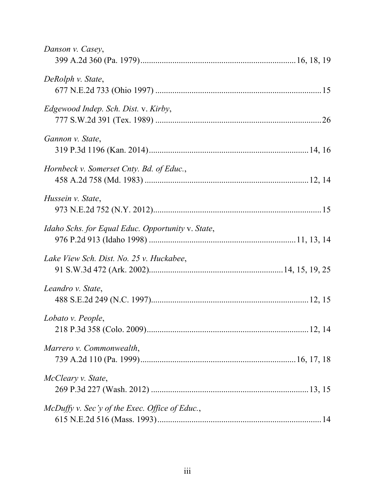| Danson v. Casey,                                  |  |
|---------------------------------------------------|--|
| DeRolph v. State,                                 |  |
| Edgewood Indep. Sch. Dist. v. Kirby,              |  |
| Gannon v. State,                                  |  |
| Hornbeck v. Somerset Cnty. Bd. of Educ.,          |  |
| Hussein v. State,                                 |  |
| Idaho Schs. for Equal Educ. Opportunity v. State, |  |
| Lake View Sch. Dist. No. 25 v. Huckabee,          |  |
| Leandro v. State,                                 |  |
| Lobato v. People,                                 |  |
| Marrero v. Commonwealth,                          |  |
| McCleary v. State,                                |  |
| McDuffy v. Sec'y of the Exec. Office of Educ.,    |  |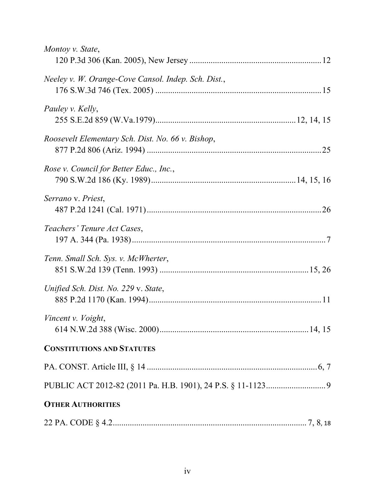| Montoy v. State,                                    |  |
|-----------------------------------------------------|--|
| Neeley v. W. Orange-Cove Cansol. Indep. Sch. Dist., |  |
| Pauley v. Kelly,                                    |  |
| Roosevelt Elementary Sch. Dist. No. 66 v. Bishop,   |  |
| Rose v. Council for Better Educ., Inc.,             |  |
| Serrano v. Priest,                                  |  |
| Teachers' Tenure Act Cases,                         |  |
| Tenn. Small Sch. Sys. v. McWherter,                 |  |
| Unified Sch. Dist. No. 229 v. State,                |  |
| Vincent v. Voight,                                  |  |
| <b>CONSTITUTIONS AND STATUTES</b>                   |  |
|                                                     |  |
|                                                     |  |
| <b>OTHER AUTHORITIES</b>                            |  |
|                                                     |  |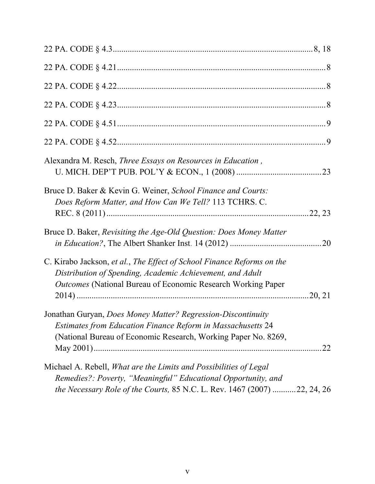| Alexandra M. Resch, Three Essays on Resources in Education,                                                                                                                                                           |  |
|-----------------------------------------------------------------------------------------------------------------------------------------------------------------------------------------------------------------------|--|
| Bruce D. Baker & Kevin G. Weiner, School Finance and Courts:<br>Does Reform Matter, and How Can We Tell? 113 TCHRS. C.                                                                                                |  |
| Bruce D. Baker, Revisiting the Age-Old Question: Does Money Matter                                                                                                                                                    |  |
| C. Kirabo Jackson, et al., The Effect of School Finance Reforms on the<br>Distribution of Spending, Academic Achievement, and Adult<br><b>Outcomes</b> (National Bureau of Economic Research Working Paper            |  |
| Jonathan Guryan, Does Money Matter? Regression-Discontinuity<br><b>Estimates from Education Finance Reform in Massachusetts 24</b><br>(National Bureau of Economic Research, Working Paper No. 8269,                  |  |
| Michael A. Rebell, <i>What are the Limits and Possibilities of Legal</i><br>Remedies?: Poverty, "Meaningful" Educational Opportunity, and<br>the Necessary Role of the Courts, 85 N.C. L. Rev. 1467 (2007) 22, 24, 26 |  |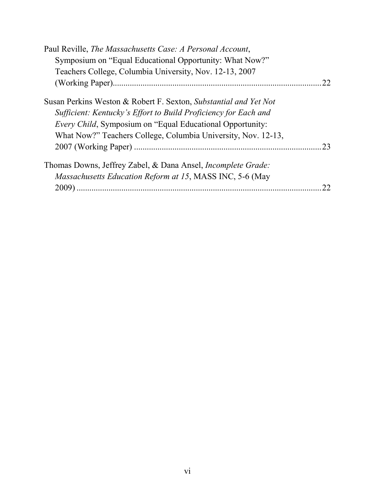| Paul Reville, The Massachusetts Case: A Personal Account,            |    |
|----------------------------------------------------------------------|----|
| Symposium on "Equal Educational Opportunity: What Now?"              |    |
| Teachers College, Columbia University, Nov. 12-13, 2007              |    |
|                                                                      | 22 |
| Susan Perkins Weston & Robert F. Sexton, Substantial and Yet Not     |    |
| Sufficient: Kentucky's Effort to Build Proficiency for Each and      |    |
| <i>Every Child</i> , Symposium on "Equal Educational Opportunity:    |    |
| What Now?" Teachers College, Columbia University, Nov. 12-13,        |    |
|                                                                      | 23 |
| Thomas Downs, Jeffrey Zabel, & Dana Ansel, <i>Incomplete Grade</i> : |    |
| <i>Massachusetts Education Reform at 15, MASS INC, 5-6 (May</i>      |    |
|                                                                      |    |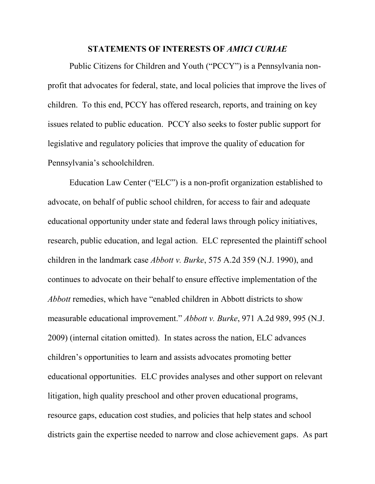#### **STATEMENTS OF INTERESTS OF** *AMICI CURIAE*

Public Citizens for Children and Youth ("PCCY") is a Pennsylvania nonprofit that advocates for federal, state, and local policies that improve the lives of children. To this end, PCCY has offered research, reports, and training on key issues related to public education. PCCY also seeks to foster public support for legislative and regulatory policies that improve the quality of education for Pennsylvania's schoolchildren.

Education Law Center ("ELC") is a non-profit organization established to advocate, on behalf of public school children, for access to fair and adequate educational opportunity under state and federal laws through policy initiatives, research, public education, and legal action. ELC represented the plaintiff school children in the landmark case *Abbott v. Burke*, 575 A.2d 359 (N.J. 1990), and continues to advocate on their behalf to ensure effective implementation of the *Abbott* remedies, which have "enabled children in Abbott districts to show measurable educational improvement." *Abbott v. Burke*, 971 A.2d 989, 995 (N.J. 2009) (internal citation omitted). In states across the nation, ELC advances children's opportunities to learn and assists advocates promoting better educational opportunities. ELC provides analyses and other support on relevant litigation, high quality preschool and other proven educational programs, resource gaps, education cost studies, and policies that help states and school districts gain the expertise needed to narrow and close achievement gaps. As part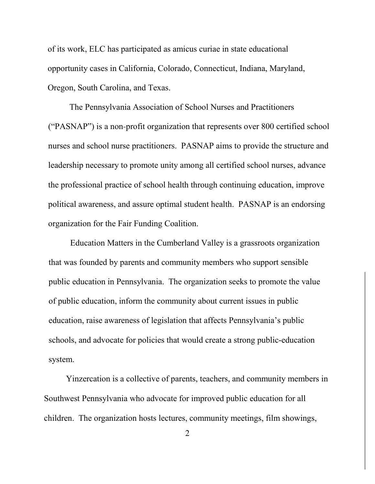of its work, ELC has participated as amicus curiae in state educational opportunity cases in California, Colorado, Connecticut, Indiana, Maryland, Oregon, South Carolina, and Texas.

The Pennsylvania Association of School Nurses and Practitioners ("PASNAP") is a non-profit organization that represents over 800 certified school nurses and school nurse practitioners. PASNAP aims to provide the structure and leadership necessary to promote unity among all certified school nurses, advance the professional practice of school health through continuing education, improve political awareness, and assure optimal student health. PASNAP is an endorsing organization for the Fair Funding Coalition.

Education Matters in the Cumberland Valley is a grassroots organization that was founded by parents and community members who support sensible public education in Pennsylvania. The organization seeks to promote the value of public education, inform the community about current issues in public education, raise awareness of legislation that affects Pennsylvania's public schools, and advocate for policies that would create a strong public-education system.

Yinzercation is a collective of parents, teachers, and community members in Southwest Pennsylvania who advocate for improved public education for all children. The organization hosts lectures, community meetings, film showings,

2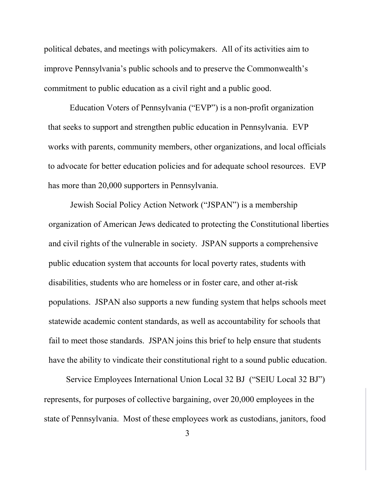political debates, and meetings with policymakers. All of its activities aim to improve Pennsylvania's public schools and to preserve the Commonwealth's commitment to public education as a civil right and a public good.

Education Voters of Pennsylvania ("EVP") is a non-profit organization that seeks to support and strengthen public education in Pennsylvania. EVP works with parents, community members, other organizations, and local officials to advocate for better education policies and for adequate school resources. EVP has more than 20,000 supporters in Pennsylvania.

Jewish Social Policy Action Network ("JSPAN") is a membership organization of American Jews dedicated to protecting the Constitutional liberties and civil rights of the vulnerable in society. JSPAN supports a comprehensive public education system that accounts for local poverty rates, students with disabilities, students who are homeless or in foster care, and other at-risk populations. JSPAN also supports a new funding system that helps schools meet statewide academic content standards, as well as accountability for schools that fail to meet those standards. JSPAN joins this brief to help ensure that students have the ability to vindicate their constitutional right to a sound public education.

Service Employees International Union Local 32 BJ ("SEIU Local 32 BJ") represents, for purposes of collective bargaining, over 20,000 employees in the state of Pennsylvania. Most of these employees work as custodians, janitors, food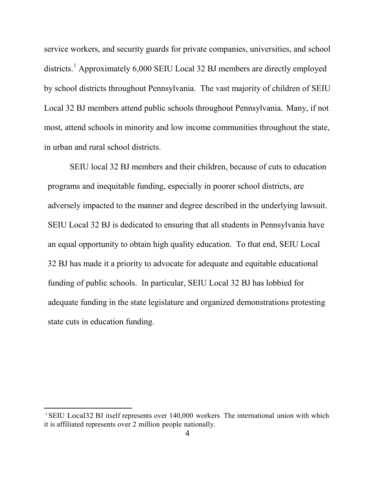service workers, and security guards for private companies, universities, and school districts.<sup>1</sup> Approximately 6,000 SEIU Local 32 BJ members are directly employed by school districts throughout Pennsylvania. The vast majority of children of SEIU Local 32 BJ members attend public schools throughout Pennsylvania. Many, if not most, attend schools in minority and low income communities throughout the state, in urban and rural school districts.

SEIU local 32 BJ members and their children, because of cuts to education programs and inequitable funding, especially in poorer school districts, are adversely impacted to the manner and degree described in the underlying lawsuit. SEIU Local 32 BJ is dedicated to ensuring that all students in Pennsylvania have an equal opportunity to obtain high quality education. To that end, SEIU Local 32 BJ has made it a priority to advocate for adequate and equitable educational funding of public schools. In particular, SEIU Local 32 BJ has lobbied for adequate funding in the state legislature and organized demonstrations protesting state cuts in education funding.

l

<sup>&</sup>lt;sup>1</sup> SEIU Local32 BJ itself represents over 140,000 workers. The international union with which it is affiliated represents over 2 million people nationally.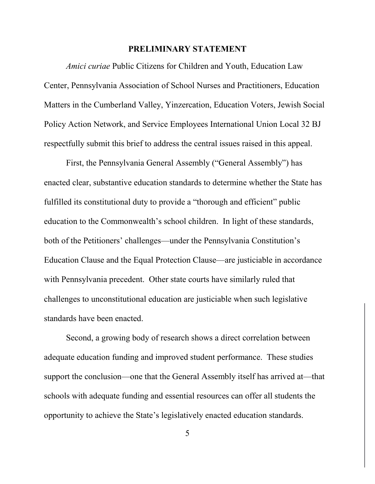#### **PRELIMINARY STATEMENT**

*Amici curiae* Public Citizens for Children and Youth, Education Law Center, Pennsylvania Association of School Nurses and Practitioners, Education Matters in the Cumberland Valley, Yinzercation, Education Voters, Jewish Social Policy Action Network, and Service Employees International Union Local 32 BJ respectfully submit this brief to address the central issues raised in this appeal.

First, the Pennsylvania General Assembly ("General Assembly") has enacted clear, substantive education standards to determine whether the State has fulfilled its constitutional duty to provide a "thorough and efficient" public education to the Commonwealth's school children. In light of these standards, both of the Petitioners' challenges—under the Pennsylvania Constitution's Education Clause and the Equal Protection Clause—are justiciable in accordance with Pennsylvania precedent. Other state courts have similarly ruled that challenges to unconstitutional education are justiciable when such legislative standards have been enacted.

Second, a growing body of research shows a direct correlation between adequate education funding and improved student performance. These studies support the conclusion—one that the General Assembly itself has arrived at—that schools with adequate funding and essential resources can offer all students the opportunity to achieve the State's legislatively enacted education standards.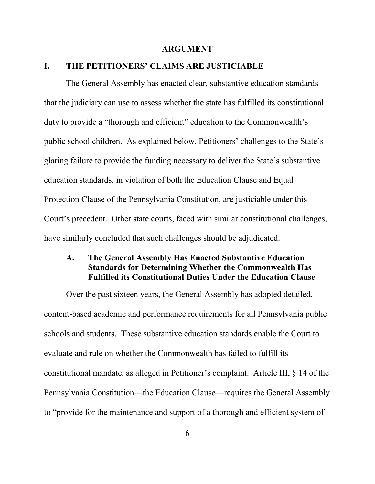#### **ARGUMENT**

## **I. THE PETITIONERS' CLAIMS ARE JUSTICIABLE**

The General Assembly has enacted clear, substantive education standards that the judiciary can use to assess whether the state has fulfilled its constitutional duty to provide a "thorough and efficient" education to the Commonwealth's public school children. As explained below, Petitioners' challenges to the State's glaring failure to provide the funding necessary to deliver the State's substantive education standards, in violation of both the Education Clause and Equal Protection Clause of the Pennsylvania Constitution, are justiciable under this Court's precedent. Other state courts, faced with similar constitutional challenges, have similarly concluded that such challenges should be adjudicated.

## **A. The General Assembly Has Enacted Substantive Education Standards for Determining Whether the Commonwealth Has Fulfilled its Constitutional Duties Under the Education Clause**

Over the past sixteen years, the General Assembly has adopted detailed, content-based academic and performance requirements for all Pennsylvania public schools and students. These substantive education standards enable the Court to evaluate and rule on whether the Commonwealth has failed to fulfill its constitutional mandate, as alleged in Petitioner's complaint. Article III, § 14 of the Pennsylvania Constitution—the Education Clause—requires the General Assembly to "provide for the maintenance and support of a thorough and efficient system of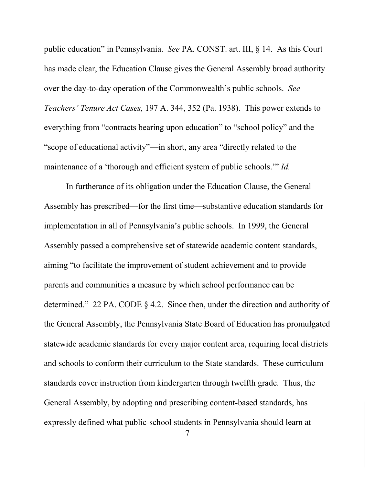public education" in Pennsylvania. *See* PA. CONST. art. III, § 14. As this Court has made clear, the Education Clause gives the General Assembly broad authority over the day-to-day operation of the Commonwealth's public schools. *See Teachers' Tenure Act Cases,* 197 A. 344, 352 (Pa. 1938). This power extends to everything from "contracts bearing upon education" to "school policy" and the "scope of educational activity"—in short, any area "directly related to the maintenance of a 'thorough and efficient system of public schools.'" *Id.*

In furtherance of its obligation under the Education Clause, the General Assembly has prescribed—for the first time—substantive education standards for implementation in all of Pennsylvania's public schools. In 1999, the General Assembly passed a comprehensive set of statewide academic content standards, aiming "to facilitate the improvement of student achievement and to provide parents and communities a measure by which school performance can be determined." 22 PA. CODE § 4.2. Since then, under the direction and authority of the General Assembly, the Pennsylvania State Board of Education has promulgated statewide academic standards for every major content area, requiring local districts and schools to conform their curriculum to the State standards. These curriculum standards cover instruction from kindergarten through twelfth grade. Thus, the General Assembly, by adopting and prescribing content-based standards, has expressly defined what public-school students in Pennsylvania should learn at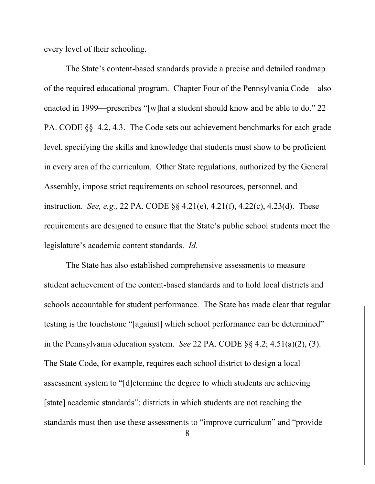every level of their schooling.

The State's content-based standards provide a precise and detailed roadmap of the required educational program. Chapter Four of the Pennsylvania Code—also enacted in 1999—prescribes "[w]hat a student should know and be able to do." 22 PA. CODE §§ 4.2, 4.3. The Code sets out achievement benchmarks for each grade level, specifying the skills and knowledge that students must show to be proficient in every area of the curriculum. Other State regulations, authorized by the General Assembly, impose strict requirements on school resources, personnel, and instruction. *See, e.g.,* 22 PA. CODE §§ 4.21(e), 4.21(f), 4.22(c), 4.23(d). These requirements are designed to ensure that the State's public school students meet the legislature's academic content standards. *Id.*

The State has also established comprehensive assessments to measure student achievement of the content-based standards and to hold local districts and schools accountable for student performance. The State has made clear that regular testing is the touchstone "[against] which school performance can be determined" in the Pennsylvania education system. *See* 22 PA. CODE §§ 4.2; 4.51(a)(2), (3). The State Code, for example, requires each school district to design a local assessment system to "[d]etermine the degree to which students are achieving [state] academic standards"; districts in which students are not reaching the standards must then use these assessments to "improve curriculum" and "provide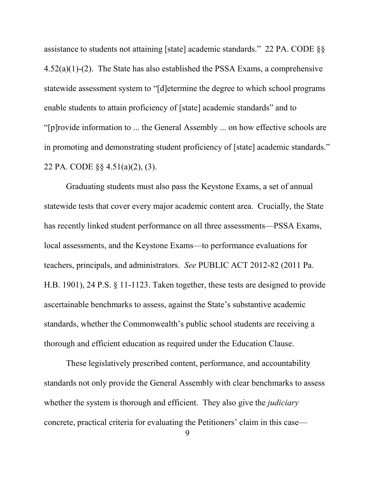assistance to students not attaining [state] academic standards." 22 PA. CODE §§ 4.52(a)(1)-(2). The State has also established the PSSA Exams, a comprehensive statewide assessment system to "[d]etermine the degree to which school programs enable students to attain proficiency of [state] academic standards" and to "[p]rovide information to ... the General Assembly ... on how effective schools are in promoting and demonstrating student proficiency of [state] academic standards." 22 PA. CODE §§ 4.51(a)(2), (3).

Graduating students must also pass the Keystone Exams, a set of annual statewide tests that cover every major academic content area. Crucially, the State has recently linked student performance on all three assessments—PSSA Exams, local assessments, and the Keystone Exams—to performance evaluations for teachers, principals, and administrators. *See* PUBLIC ACT 2012-82 (2011 Pa. H.B. 1901), 24 P.S. § 11-1123. Taken together, these tests are designed to provide ascertainable benchmarks to assess, against the State's substantive academic standards, whether the Commonwealth's public school students are receiving a thorough and efficient education as required under the Education Clause.

These legislatively prescribed content, performance, and accountability standards not only provide the General Assembly with clear benchmarks to assess whether the system is thorough and efficient. They also give the *judiciary* concrete, practical criteria for evaluating the Petitioners' claim in this case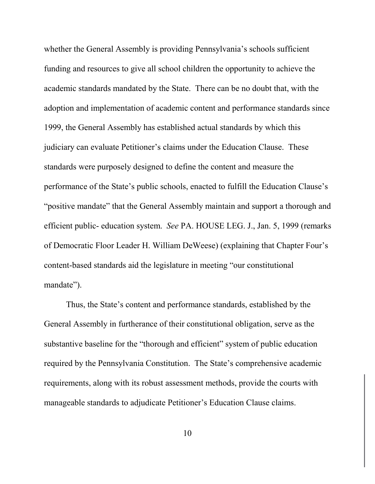whether the General Assembly is providing Pennsylvania's schools sufficient funding and resources to give all school children the opportunity to achieve the academic standards mandated by the State. There can be no doubt that, with the adoption and implementation of academic content and performance standards since 1999, the General Assembly has established actual standards by which this judiciary can evaluate Petitioner's claims under the Education Clause. These standards were purposely designed to define the content and measure the performance of the State's public schools, enacted to fulfill the Education Clause's "positive mandate" that the General Assembly maintain and support a thorough and efficient public- education system. *See* PA. HOUSE LEG. J., Jan. 5, 1999 (remarks of Democratic Floor Leader H. William DeWeese) (explaining that Chapter Four's content-based standards aid the legislature in meeting "our constitutional mandate").

Thus, the State's content and performance standards, established by the General Assembly in furtherance of their constitutional obligation, serve as the substantive baseline for the "thorough and efficient" system of public education required by the Pennsylvania Constitution. The State's comprehensive academic requirements, along with its robust assessment methods, provide the courts with manageable standards to adjudicate Petitioner's Education Clause claims.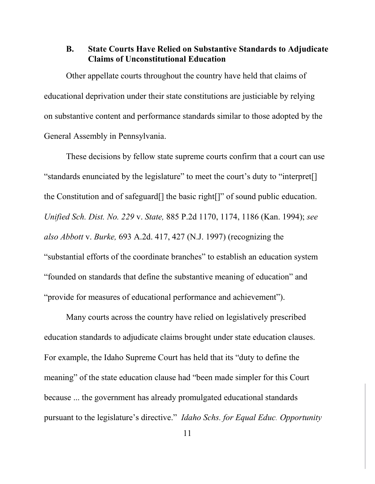## **B. State Courts Have Relied on Substantive Standards to Adjudicate Claims of Unconstitutional Education**

Other appellate courts throughout the country have held that claims of educational deprivation under their state constitutions are justiciable by relying on substantive content and performance standards similar to those adopted by the General Assembly in Pennsylvania.

These decisions by fellow state supreme courts confirm that a court can use "standards enunciated by the legislature" to meet the court's duty to "interpret[] the Constitution and of safeguard[] the basic right[]" of sound public education. *Unified Sch. Dist. No. 229* v. *State,* 885 P.2d 1170, 1174, 1186 (Kan. 1994); *see also Abbott* v. *Burke,* 693 A.2d. 417, 427 (N.J. 1997) (recognizing the "substantial efforts of the coordinate branches" to establish an education system "founded on standards that define the substantive meaning of education" and "provide for measures of educational performance and achievement").

Many courts across the country have relied on legislatively prescribed education standards to adjudicate claims brought under state education clauses. For example, the Idaho Supreme Court has held that its "duty to define the meaning" of the state education clause had "been made simpler for this Court because ... the government has already promulgated educational standards pursuant to the legislature's directive." *Idaho Schs. for Equal Educ. Opportunity*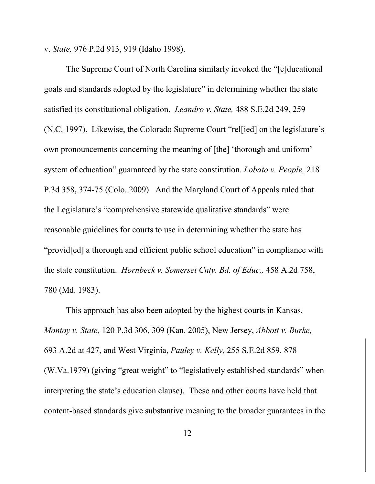v. *State,* 976 P.2d 913, 919 (Idaho 1998).

The Supreme Court of North Carolina similarly invoked the "[e]ducational goals and standards adopted by the legislature" in determining whether the state satisfied its constitutional obligation. *Leandro v. State,* 488 S.E.2d 249, 259 (N.C. 1997). Likewise, the Colorado Supreme Court "rel[ied] on the legislature's own pronouncements concerning the meaning of [the] 'thorough and uniform' system of education" guaranteed by the state constitution. *Lobato v. People,* 218 P.3d 358, 374-75 (Colo. 2009). And the Maryland Court of Appeals ruled that the Legislature's "comprehensive statewide qualitative standards" were reasonable guidelines for courts to use in determining whether the state has "provid[ed] a thorough and efficient public school education" in compliance with the state constitution. *Hornbeck v. Somerset Cnty. Bd. of Educ.,* 458 A.2d 758, 780 (Md. 1983).

This approach has also been adopted by the highest courts in Kansas, *Montoy v. State,* 120 P.3d 306, 309 (Kan. 2005), New Jersey, *Abbott v. Burke,*  693 A.2d at 427, and West Virginia, *Pauley v. Kelly,* 255 S.E.2d 859, 878 (W.Va.1979) (giving "great weight" to "legislatively established standards" when interpreting the state's education clause). These and other courts have held that content-based standards give substantive meaning to the broader guarantees in the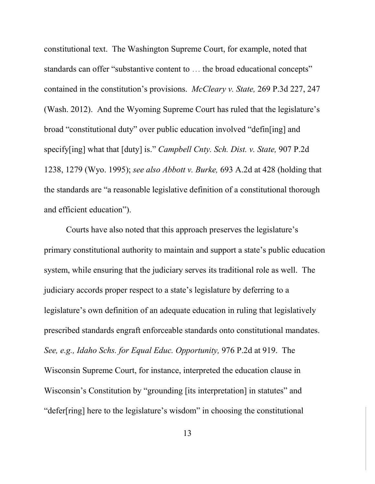constitutional text. The Washington Supreme Court, for example, noted that standards can offer "substantive content to … the broad educational concepts" contained in the constitution's provisions. *McCleary v. State,* 269 P.3d 227, 247 (Wash. 2012). And the Wyoming Supreme Court has ruled that the legislature's broad "constitutional duty" over public education involved "defin[ing] and specify[ing] what that [duty] is." *Campbell Cnty. Sch. Dist. v. State,* 907 P.2d 1238, 1279 (Wyo. 1995); *see also Abbott v. Burke,* 693 A.2d at 428 (holding that the standards are "a reasonable legislative definition of a constitutional thorough and efficient education").

Courts have also noted that this approach preserves the legislature's primary constitutional authority to maintain and support a state's public education system, while ensuring that the judiciary serves its traditional role as well. The judiciary accords proper respect to a state's legislature by deferring to a legislature's own definition of an adequate education in ruling that legislatively prescribed standards engraft enforceable standards onto constitutional mandates. *See, e.g., Idaho Schs. for Equal Educ. Opportunity,* 976 P.2d at 919. The Wisconsin Supreme Court, for instance, interpreted the education clause in Wisconsin's Constitution by "grounding [its interpretation] in statutes" and "defer[ring] here to the legislature's wisdom" in choosing the constitutional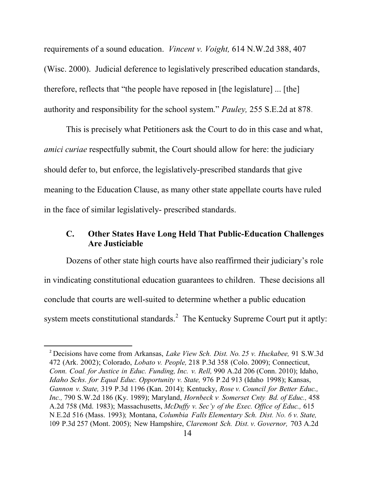requirements of a sound education. *Vincent v. Voight,* 614 N.W.2d 388, 407 (Wisc. 2000). Judicial deference to legislatively prescribed education standards, therefore, reflects that "the people have reposed in [the legislature] ... [the] authority and responsibility for the school system." *Pauley,* 255 S.E.2d at 878.

This is precisely what Petitioners ask the Court to do in this case and what, *amici curiae* respectfully submit, the Court should allow for here: the judiciary should defer to, but enforce, the legislatively-prescribed standards that give meaning to the Education Clause, as many other state appellate courts have ruled in the face of similar legislatively- prescribed standards.

## **C. Other States Have Long Held That Public-Education Challenges Are Justiciable**

Dozens of other state high courts have also reaffirmed their judiciary's role in vindicating constitutional education guarantees to children. These decisions all conclude that courts are well-suited to determine whether a public education system meets constitutional standards. $2$  The Kentucky Supreme Court put it aptly:

 <sup>2</sup> Decisions have come from Arkansas, *Lake View Sch. Dist. No. <sup>25</sup> v. Huckabee,* <sup>91</sup> S.W.3d 472 (Ark. 2002); Colorado, *Lobato v. People,* 218 P.3d 358 (Colo. 2009); Connecticut, *Conn. Coal. for Justice in Educ. Funding, Inc. v. Rell,* 990 A.2d 206 (Conn. 2010); Idaho, *Idaho Schs. for Equal Educ. Opportunity v. State,* 976 P.2d 913 (Idaho 1998); Kansas, *Gannon v. State,* 319 P.3d 1196 (Kan. 2014); Kentucky, *Rose v. Council for Better Educ., Inc.,* 790 S.W.2d 186 (Ky. 1989); Maryland, *Hornbeck v. Somerset Cnty. Bd. of Educ.,* 458 A.2d 758 (Md. 1983); Massachusetts, *McDuffy v. Sec'y of the Exec. Office of Educ.,* 615 N.E.2d 516 (Mass. 1993); Montana, *Columbia Falls Elementary Sch. Dist. No. 6 v. State,* 109 P.3d 257 (Mont. 2005); New Hampshire, *Claremont Sch. Dist. v. Governor,* 703 A.2d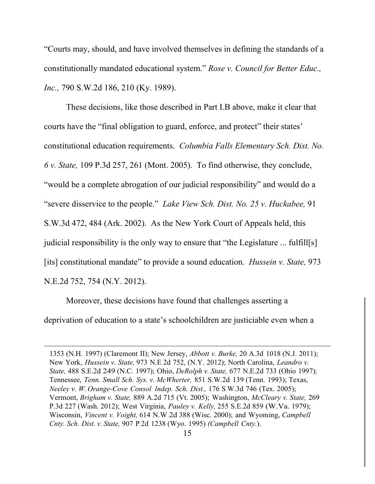"Courts may, should, and have involved themselves in defining the standards of a constitutionally mandated educational system." *Rose v. Council for Better Educ., Inc.,* 790 S.W.2d 186, 210 (Ky. 1989).

These decisions, like those described in Part I.B above, make it clear that courts have the "final obligation to guard, enforce, and protect" their states' constitutional education requirements. *Columbia Falls Elementary Sch. Dist. No. 6 v. State,* 109 P.3d 257, 261 (Mont. 2005). To find otherwise, they conclude, "would be a complete abrogation of our judicial responsibility" and would do a "severe disservice to the people." *Lake View Sch. Dist. No. 25 v. Huckabee,* 91 S.W.3d 472, 484 (Ark. 2002). As the New York Court of Appeals held, this judicial responsibility is the only way to ensure that "the Legislature ... fulfill[s] [its] constitutional mandate" to provide a sound education. *Hussein v. State,* 973 N.E.2d 752, 754 (N.Y. 2012).

Moreover, these decisions have found that challenges asserting a deprivation of education to a state's schoolchildren are justiciable even when a

 $\overline{\phantom{a}}$ 

<sup>1353</sup> (N.H. 1997) (Claremont II); New Jersey, *Abbott v. Burke,* 20 A.3d 1018 (N.J. 2011); New York, *Hussein v. State,* <sup>973</sup> N.E.2d 752, (N.Y. 2012); North Carolina, *Leandro v. State,* 488 S.E.2d 249 (N.C. 1997); Ohio, *DeRolph v. State,* 677 N.E.2d 733 (Ohio 1997); Tennessee, *Tenn. Small Sch. Sys. v. McWherter,* 851 S.W.2d 139 (Tenn. 1993); Texas, *Neeley v. W. Orange-Cove Consol. lndep. Sch. Dist.,* 176 S.W.3d 746 (Tex. 2005); Vermont, *Brigham v. State,* 889 A.2d 715 (Vt. 2005); Washington, *McCleary v. State,* 269 P.3d 227 (Wash. 2012); West Virginia, *Pauley v. Kelly,* 255 S.E.2d 859 (W.Va. 1979); Wisconsin, *Vincent v. Voight,* 614 N.W.2d 388 (Wisc. 2000); and Wyoming, *Campbell Cnty. Sch. Dist. v. State,* 907 P.2d 1238 (Wyo. 1995) *(Campbell Cnty.*).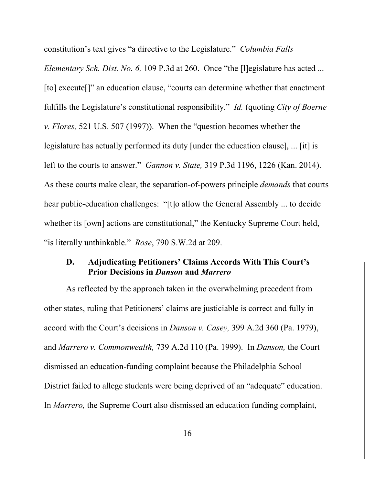constitution's text gives "a directive to the Legislature." *Columbia Falls* 

*Elementary Sch. Dist. No. 6,* 109 P.3d at 260. Once "the [l]egislature has acted ... [to] execute<sup>[]"</sup> an education clause, "courts can determine whether that enactment fulfills the Legislature's constitutional responsibility." *Id.* (quoting *City of Boerne v. Flores,* 521 U.S. 507 (1997)). When the "question becomes whether the legislature has actually performed its duty [under the education clause], ... [it] is left to the courts to answer." *Gannon v. State,* 319 P.3d 1196, 1226 (Kan. 2014). As these courts make clear, the separation-of-powers principle *demands* that courts hear public-education challenges: "[t]o allow the General Assembly ... to decide whether its [own] actions are constitutional," the Kentucky Supreme Court held, "is literally unthinkable." *Rose*, 790 S.W.2d at 209.

## **D. Adjudicating Petitioners' Claims Accords With This Court's Prior Decisions in** *Danson* **and** *Marrero*

As reflected by the approach taken in the overwhelming precedent from other states, ruling that Petitioners' claims are justiciable is correct and fully in accord with the Court's decisions in *Danson v. Casey,* 399 A.2d 360 (Pa. 1979), and *Marrero v. Commonwealth,* 739 A.2d 110 (Pa. 1999). In *Danson,* the Court dismissed an education-funding complaint because the Philadelphia School District failed to allege students were being deprived of an "adequate" education. In *Marrero,* the Supreme Court also dismissed an education funding complaint,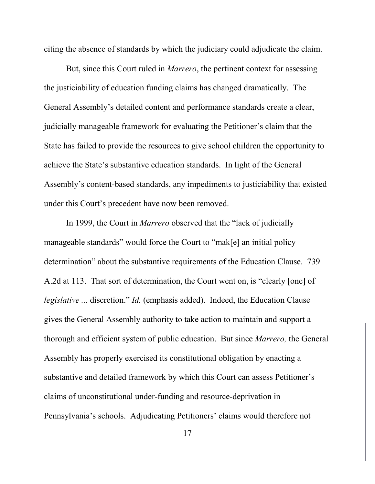citing the absence of standards by which the judiciary could adjudicate the claim.

But, since this Court ruled in *Marrero*, the pertinent context for assessing the justiciability of education funding claims has changed dramatically. The General Assembly's detailed content and performance standards create a clear, judicially manageable framework for evaluating the Petitioner's claim that the State has failed to provide the resources to give school children the opportunity to achieve the State's substantive education standards. In light of the General Assembly's content-based standards, any impediments to justiciability that existed under this Court's precedent have now been removed.

In 1999, the Court in *Marrero* observed that the "lack of judicially manageable standards" would force the Court to "mak[e] an initial policy determination" about the substantive requirements of the Education Clause. 739 A.2d at 113. That sort of determination, the Court went on, is "clearly [one] of *legislative* ... discretion." *Id.* (emphasis added). Indeed, the Education Clause gives the General Assembly authority to take action to maintain and support a thorough and efficient system of public education. But since *Marrero,* the General Assembly has properly exercised its constitutional obligation by enacting a substantive and detailed framework by which this Court can assess Petitioner's claims of unconstitutional under-funding and resource-deprivation in Pennsylvania's schools. Adjudicating Petitioners' claims would therefore not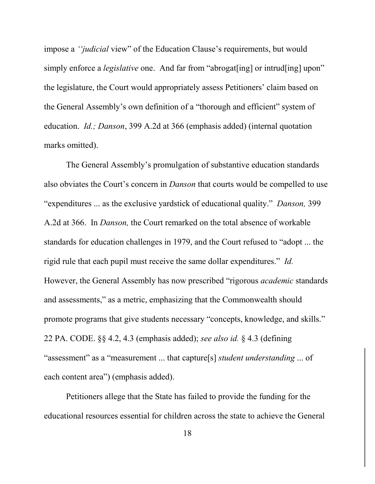impose a *''judicial* view" of the Education Clause's requirements, but would simply enforce a *legislative* one. And far from "abrogat[ing] or intrud[ing] upon" the legislature, the Court would appropriately assess Petitioners' claim based on the General Assembly's own definition of a "thorough and efficient" system of education. *Id.; Danson*, 399 A.2d at 366 (emphasis added) (internal quotation marks omitted).

The General Assembly's promulgation of substantive education standards also obviates the Court's concern in *Danson* that courts would be compelled to use "expenditures ... as the exclusive yardstick of educational quality." *Danson,* 399 A.2d at 366. In *Danson,* the Court remarked on the total absence of workable standards for education challenges in 1979, and the Court refused to "adopt ... the rigid rule that each pupil must receive the same dollar expenditures." *Id.*  However, the General Assembly has now prescribed "rigorous *academic* standards and assessments," as a metric, emphasizing that the Commonwealth should promote programs that give students necessary "concepts, knowledge, and skills." 22 PA. CODE. §§ 4.2, 4.3 (emphasis added); *see also id.* § 4.3 (defining "assessment" as a "measurement ... that capture[s] *student understanding* ... of each content area") (emphasis added).

Petitioners allege that the State has failed to provide the funding for the educational resources essential for children across the state to achieve the General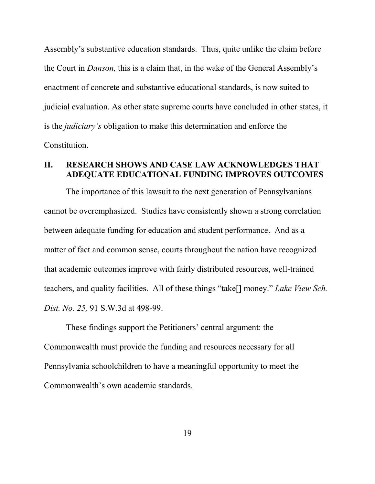Assembly's substantive education standards. Thus, quite unlike the claim before the Court in *Danson,* this is a claim that, in the wake of the General Assembly's enactment of concrete and substantive educational standards, is now suited to judicial evaluation. As other state supreme courts have concluded in other states, it is the *judiciary's* obligation to make this determination and enforce the Constitution.

## **II. RESEARCH SHOWS AND CASE LAW ACKNOWLEDGES THAT ADEQUATE EDUCATIONAL FUNDING IMPROVES OUTCOMES**

The importance of this lawsuit to the next generation of Pennsylvanians cannot be overemphasized. Studies have consistently shown a strong correlation between adequate funding for education and student performance. And as a matter of fact and common sense, courts throughout the nation have recognized that academic outcomes improve with fairly distributed resources, well-trained teachers, and quality facilities. All of these things "take[] money." *Lake View Sch. Dist. No. 25,* 91 S.W.3d at 498-99.

These findings support the Petitioners' central argument: the Commonwealth must provide the funding and resources necessary for all Pennsylvania schoolchildren to have a meaningful opportunity to meet the Commonwealth's own academic standards.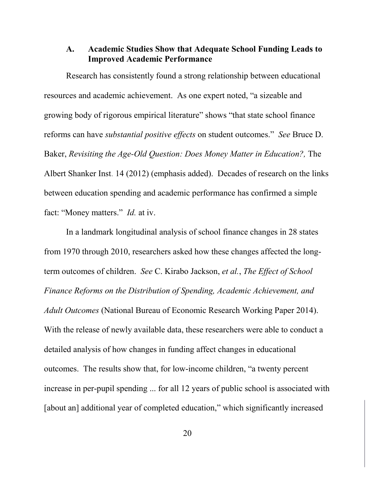## **A. Academic Studies Show that Adequate School Funding Leads to Improved Academic Performance**

Research has consistently found a strong relationship between educational resources and academic achievement. As one expert noted, "a sizeable and growing body of rigorous empirical literature" shows "that state school finance reforms can have *substantial positive effects* on student outcomes." *See* Bruce D. Baker, *Revisiting the Age-Old Question: Does Money Matter in Education?*, The Albert Shanker Inst. 14 (2012) (emphasis added). Decades of research on the links between education spending and academic performance has confirmed a simple fact: "Money matters." *Id.* at iv.

In a landmark longitudinal analysis of school finance changes in 28 states from 1970 through 2010, researchers asked how these changes affected the longterm outcomes of children. *See* C. Kirabo Jackson, *et al.*, *The Effect of School Finance Reforms on the Distribution of Spending, Academic Achievement, and Adult Outcomes* (National Bureau of Economic Research Working Paper 2014). With the release of newly available data, these researchers were able to conduct a detailed analysis of how changes in funding affect changes in educational outcomes. The results show that, for low-income children, "a twenty percent increase in per-pupil spending ... for all 12 years of public school is associated with [about an] additional year of completed education," which significantly increased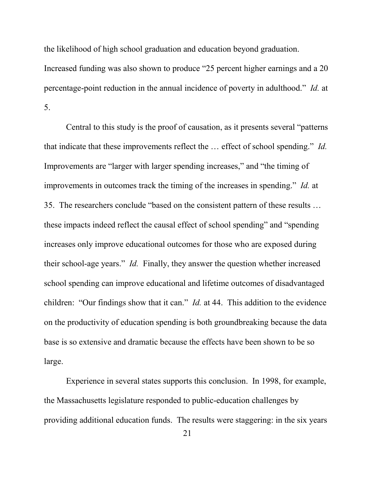the likelihood of high school graduation and education beyond graduation.

Increased funding was also shown to produce "25 percent higher earnings and a 20 percentage-point reduction in the annual incidence of poverty in adulthood." *Id.* at 5.

Central to this study is the proof of causation, as it presents several "patterns that indicate that these improvements reflect the … effect of school spending." *Id.* Improvements are "larger with larger spending increases," and "the timing of improvements in outcomes track the timing of the increases in spending." *Id.* at 35. The researchers conclude "based on the consistent pattern of these results … these impacts indeed reflect the causal effect of school spending" and "spending increases only improve educational outcomes for those who are exposed during their school-age years." *Id.* Finally, they answer the question whether increased school spending can improve educational and lifetime outcomes of disadvantaged children: "Our findings show that it can." *Id.* at 44. This addition to the evidence on the productivity of education spending is both groundbreaking because the data base is so extensive and dramatic because the effects have been shown to be so large.

Experience in several states supports this conclusion. In 1998, for example, the Massachusetts legislature responded to public-education challenges by providing additional education funds. The results were staggering: in the six years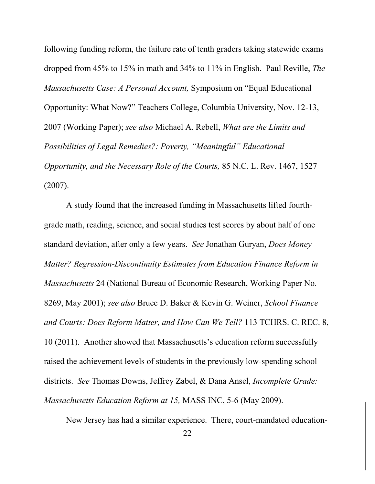following funding reform, the failure rate of tenth graders taking statewide exams dropped from 45% to 15% in math and 34% to 11% in English. Paul Reville, *The Massachusetts Case: A Personal Account,* Symposium on "Equal Educational Opportunity: What Now?" Teachers College, Columbia University, Nov. 12-13, 2007 (Working Paper); *see also* Michael A. Rebell, *What are the Limits and Possibilities of Legal Remedies?: Poverty, "Meaningful" Educational Opportunity, and the Necessary Role of the Courts,* 85 N.C. L. Rev. 1467, 1527 (2007).

A study found that the increased funding in Massachusetts lifted fourthgrade math, reading, science, and social studies test scores by about half of one standard deviation, after only a few years. *See* Jonathan Guryan, *Does Money Matter? Regression-Discontinuity Estimates from Education Finance Reform in Massachusetts* 24 (National Bureau of Economic Research, Working Paper No. 8269, May 2001); *see also* Bruce D. Baker & Kevin G. Weiner, *School Finance and Courts: Does Reform Matter, and How Can We Tell?* 113 TCHRS. C. REC. 8, 10 (2011). Another showed that Massachusetts's education reform successfully raised the achievement levels of students in the previously low-spending school districts. *See* Thomas Downs, Jeffrey Zabel, & Dana Ansel, *Incomplete Grade: Massachusetts Education Reform at 15,* MASS INC, 5-6 (May 2009).

New Jersey has had a similar experience. There, court-mandated education-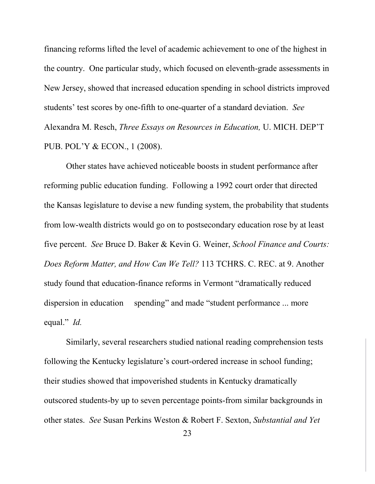financing reforms lifted the level of academic achievement to one of the highest in the country. One particular study, which focused on eleventh-grade assessments in New Jersey, showed that increased education spending in school districts improved students' test scores by one-fifth to one-quarter of a standard deviation. *See*  Alexandra M. Resch, *Three Essays on Resources in Education,* U. MICH. DEP'T PUB. POL'Y & ECON., 1 (2008).

Other states have achieved noticeable boosts in student performance after reforming public education funding. Following a 1992 court order that directed the Kansas legislature to devise a new funding system, the probability that students from low-wealth districts would go on to postsecondary education rose by at least five percent. *See* Bruce D. Baker & Kevin G. Weiner, *School Finance and Courts: Does Reform Matter, and How Can We Tell?* 113 TCHRS. C. REC. at 9. Another study found that education-finance reforms in Vermont "dramatically reduced dispersion in education spending" and made "student performance ... more equal." *Id.*

Similarly, several researchers studied national reading comprehension tests following the Kentucky legislature's court-ordered increase in school funding; their studies showed that impoverished students in Kentucky dramatically outscored students-by up to seven percentage points-from similar backgrounds in other states. *See* Susan Perkins Weston & Robert F. Sexton, *Substantial and Yet*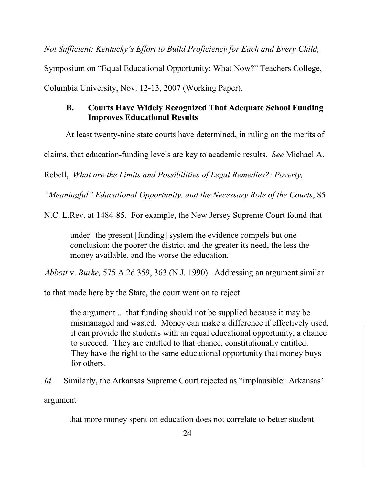*Not Sufficient: Kentucky's Effort to Build Proficiency for Each and Every Child,* 

Symposium on "Equal Educational Opportunity: What Now?" Teachers College,

Columbia University, Nov. 12-13, 2007 (Working Paper).

# **B. Courts Have Widely Recognized That Adequate School Funding Improves Educational Results**

At least twenty-nine state courts have determined, in ruling on the merits of

claims, that education-funding levels are key to academic results. *See* Michael A.

Rebell, *What are the Limits and Possibilities of Legal Remedies?: Poverty,* 

*"Meaningful" Educational Opportunity, and the Necessary Role of the Courts*, 85

N.C. L.Rev. at 1484-85. For example, the New Jersey Supreme Court found that

under the present [funding] system the evidence compels but one conclusion: the poorer the district and the greater its need, the less the money available, and the worse the education.

*Abbott* v. *Burke,* 575 A.2d 359, 363 (N.J. 1990). Addressing an argument similar

to that made here by the State, the court went on to reject

the argument ... that funding should not be supplied because it may be mismanaged and wasted. Money can make a difference if effectively used, it can provide the students with an equal educational opportunity, a chance to succeed. They are entitled to that chance, constitutionally entitled. They have the right to the same educational opportunity that money buys for others.

*Id.* Similarly, the Arkansas Supreme Court rejected as "implausible" Arkansas'

argument

that more money spent on education does not correlate to better student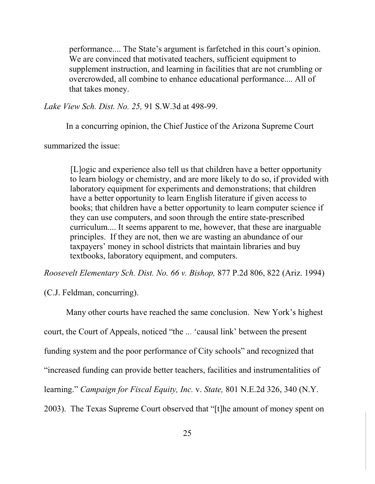performance.... The State's argument is farfetched in this court's opinion. We are convinced that motivated teachers, sufficient equipment to supplement instruction, and learning in facilities that are not crumbling or overcrowded, all combine to enhance educational performance.... All of that takes money.

*Lake View Sch. Dist. No. 25,* 91 S.W.3d at 498-99.

In a concurring opinion, the Chief Justice of the Arizona Supreme Court

summarized the issue:

[L]ogic and experience also tell us that children have a better opportunity to learn biology or chemistry, and are more likely to do so, if provided with laboratory equipment for experiments and demonstrations; that children have a better opportunity to learn English literature if given access to books; that children have a better opportunity to learn computer science if they can use computers, and soon through the entire state-prescribed curriculum.... It seems apparent to me, however, that these are inarguable principles. If they are not, then we are wasting an abundance of our taxpayers' money in school districts that maintain libraries and buy textbooks, laboratory equipment, and computers.

*Roosevelt Elementary Sch. Dist. No. 66 v. Bishop,* 877 P.2d 806, 822 (Ariz. 1994)

(C.J. Feldman, concurring).

Many other courts have reached the same conclusion. New York's highest court, the Court of Appeals, noticed "the ... 'causal link' between the present funding system and the poor performance of City schools" and recognized that "increased funding can provide better teachers, facilities and instrumentalities of learning." *Campaign for Fiscal Equity, Inc.* v. *State,* 801 N.E.2d 326, 340 (N.Y. 2003). The Texas Supreme Court observed that "[t]he amount of money spent on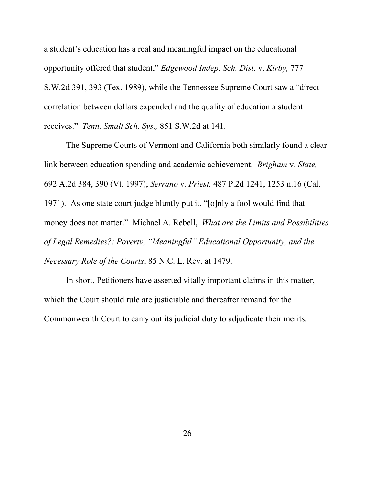a student's education has a real and meaningful impact on the educational opportunity offered that student," *Edgewood Indep. Sch. Dist.* v. *Kirby,* 777 S.W.2d 391, 393 (Tex. 1989), while the Tennessee Supreme Court saw a "direct correlation between dollars expended and the quality of education a student receives." *Tenn. Small Sch. Sys.,* 851 S.W.2d at 141.

The Supreme Courts of Vermont and California both similarly found a clear link between education spending and academic achievement. *Brigham* v. *State,* 692 A.2d 384, 390 (Vt. 1997); *Serrano* v. *Priest,* 487 P.2d 1241, 1253 n.16 (Cal. 1971). As one state court judge bluntly put it, "[o]nly a fool would find that money does not matter." Michael A. Rebell, *What are the Limits and Possibilities of Legal Remedies?: Poverty, "Meaningful" Educational Opportunity, and the Necessary Role of the Courts*, 85 N.C. L. Rev. at 1479.

In short, Petitioners have asserted vitally important claims in this matter, which the Court should rule are justiciable and thereafter remand for the Commonwealth Court to carry out its judicial duty to adjudicate their merits.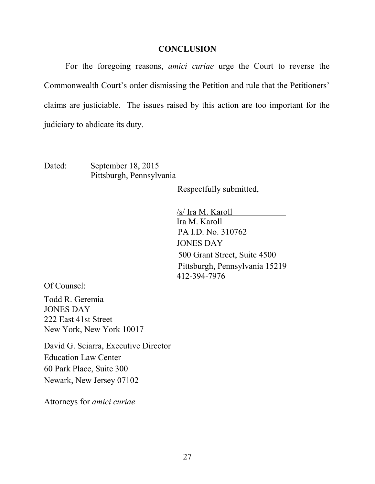#### **CONCLUSION**

For the foregoing reasons, *amici curiae* urge the Court to reverse the Commonwealth Court's order dismissing the Petition and rule that the Petitioners' claims are justiciable. The issues raised by this action are too important for the judiciary to abdicate its duty.

Dated: September 18, 2015 Pittsburgh, Pennsylvania

Respectfully submitted,

/s/ Ira M. Karoll Ira M. Karoll PA I.D. No. 310762 JONES DAY 500 Grant Street, Suite 4500 Pittsburgh, Pennsylvania 15219 412-394-7976

Of Counsel:

Todd R. Geremia JONES DAY 222 East 41st Street New York, New York 10017

David G. Sciarra, Executive Director Education Law Center 60 Park Place, Suite 300 Newark, New Jersey 07102

Attorneys for *amici curiae*